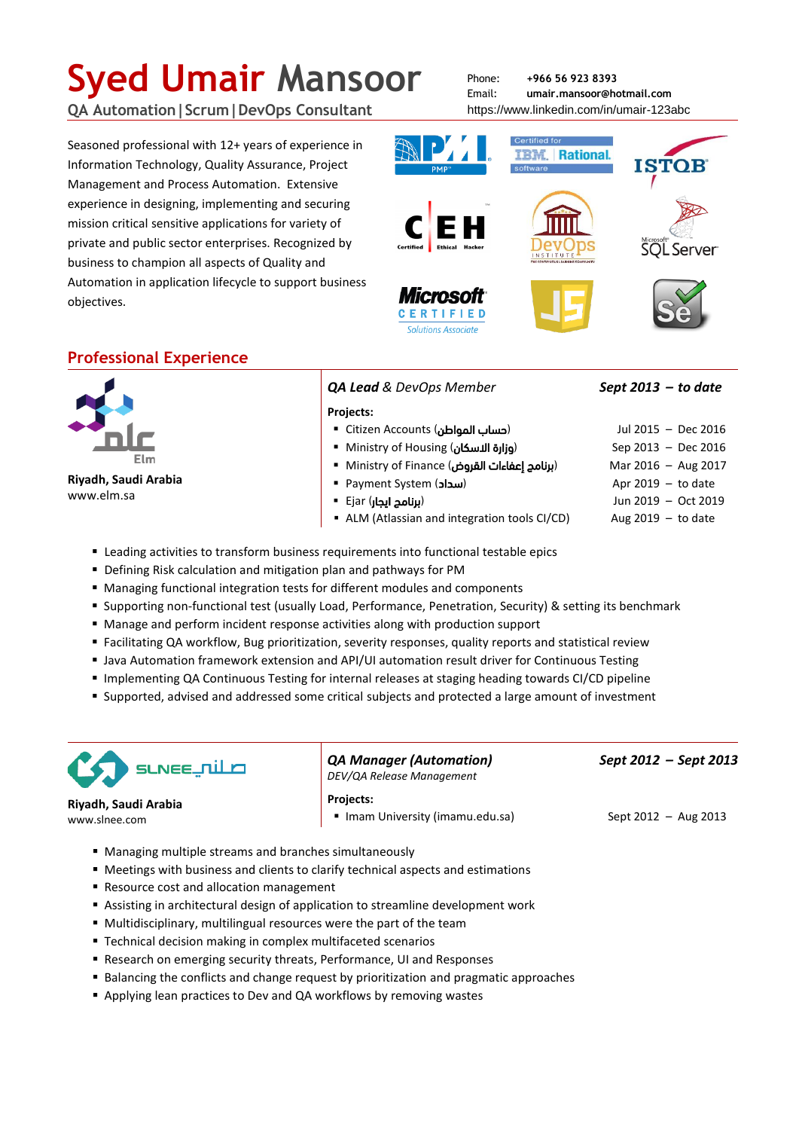# **Syed Umair Mansoor**

**QA Automation|Scrum|DevOps Consultant**

Seasoned professional with 12+ years of experience in Information Technology, Quality Assurance, Project Management and Process Automation. Extensive experience in designing, implementing and securing mission critical sensitive applications for variety of private and public sector enterprises. Recognized by business to champion all aspects of Quality and Automation in application lifecycle to support business objectives.

Phone: **+966 56 923 8393** Email: **umair.mansoor@hotmail.com** <https://www.linkedin.com/in/umair-123abc>



# **Professional Experience**



**Riyadh, Saudi Arabia** www.elm.sa

*QA Lead & DevOps Member Sept 2013 – to date*

#### **Projects:**

- Citizen Accounts (المواطن حساب (Jul 2015 Dec 2016
- Ministry of Housing (االسكان وزارة (Sep 2013 Dec 2016
- m Ministry of Finance (برنامج إعفاءات القروض)
- Payment System (سداد)
- Ejar (ايجار برنامج (Jun 2019 Oct 2019
- ALM (Atlassian and integration tools CI/CD) Aug 2019 to date
- Leading activities to transform business requirements into functional testable epics
- Defining Risk calculation and mitigation plan and pathways for PM
- Managing functional integration tests for different modules and components
- Supporting non-functional test (usually Load, Performance, Penetration, Security) & setting its benchmark
- Manage and perform incident response activities along with production support
- Facilitating QA workflow, Bug prioritization, severity responses, quality reports and statistical review
- Java Automation framework extension and API/UI automation result driver for Continuous Testing
- Implementing QA Continuous Testing for internal releases at staging heading towards CI/CD pipeline
- Supported, advised and addressed some critical subjects and protected a large amount of investment



**Riyadh, Saudi Arabia** www.slnee.com

*QA Manager (Automation) Sept 2012 – Sept 2013 DEV/QA Release Management*

**Projects:**

- Imam University (imamu.edu.sa) Sept 2012 Aug 2013
- 

- Managing multiple streams and branches simultaneously
- Meetings with business and clients to clarify technical aspects and estimations
- Resource cost and allocation management
- Assisting in architectural design of application to streamline development work
- Multidisciplinary, multilingual resources were the part of the team
- **Technical decision making in complex multifaceted scenarios**
- Research on emerging security threats, Performance, UI and Responses
- Balancing the conflicts and change request by prioritization and pragmatic approaches
- Applying lean practices to Dev and QA workflows by removing wastes

|                      | Jul 2015 - Dec 2016 |
|----------------------|---------------------|
| Sep 2013 - Dec 2016  |                     |
| Mar 2016 - Aug 2017  |                     |
| Apr $2019 - to date$ |                     |
|                      |                     |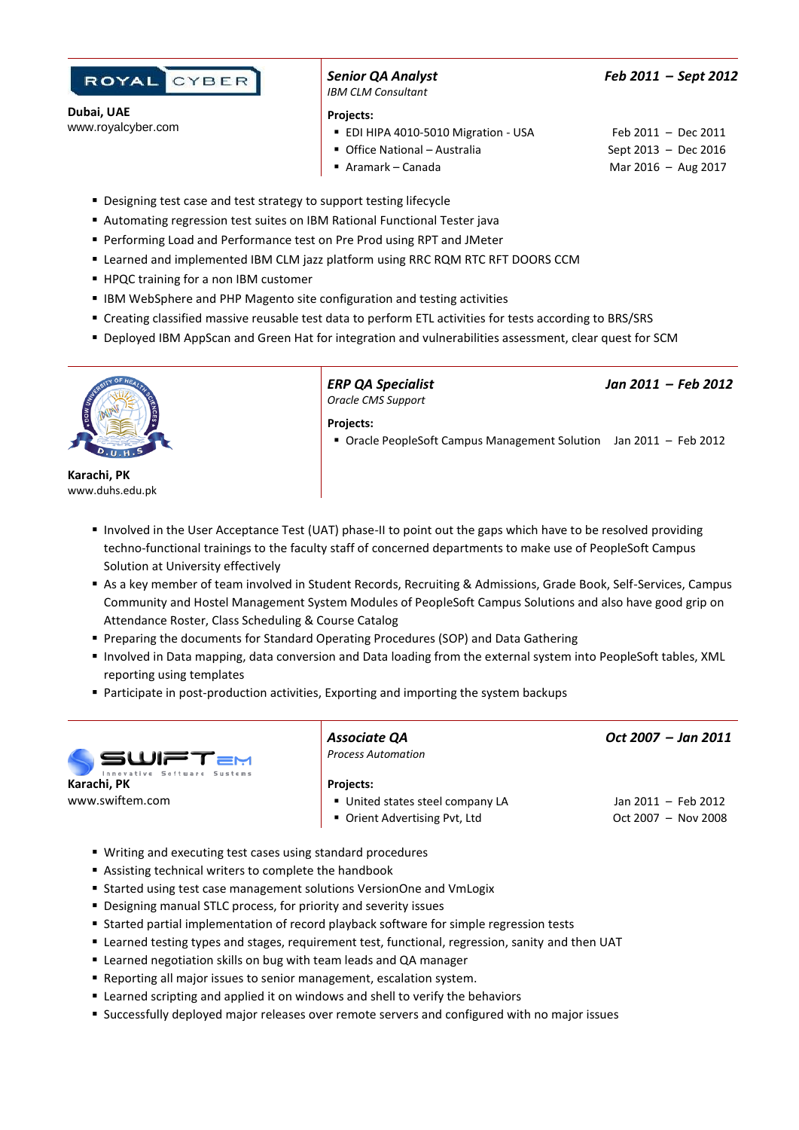

**Dubai, UAE** www.royalcyber.com *IBM CLM Consultant*

*Senior QA Analyst Feb 2011 – Sept 2012*

**Projects:**

- EDI HIPA 4010-5010 Migration USA Feb 2011 Dec 2011
- Office National Australia Sept 2013 Dec 2016
- Aramark Canada Mar 2016 Aug 2017
- **Designing test case and test strategy to support testing lifecycle**
- Automating regression test suites on IBM Rational Functional Tester java
- Performing Load and Performance test on Pre Prod using RPT and JMeter
- Learned and implemented IBM CLM jazz platform using RRC RQM RTC RFT DOORS CCM
- HPQC training for a non IBM customer
- IBM WebSphere and PHP Magento site configuration and testing activities
- Creating classified massive reusable test data to perform ETL activities for tests according to BRS/SRS
- Deployed IBM AppScan and Green Hat for integration and vulnerabilities assessment, clear quest for SCM



**Karachi, PK** www.duhs.edu.pk

*Oracle CMS Support*

*ERP QA Specialist Jan 2011 – Feb 2012*

**Projects:**

- Oracle PeopleSoft Campus Management Solution Jan 2011 Feb 2012
- Involved in the User Acceptance Test (UAT) phase-II to point out the gaps which have to be resolved providing techno-functional trainings to the faculty staff of concerned departments to make use of PeopleSoft Campus Solution at University effectively
- As a key member of team involved in Student Records, Recruiting & Admissions, Grade Book, Self-Services, Campus Community and Hostel Management System Modules of PeopleSoft Campus Solutions and also have good grip on Attendance Roster, Class Scheduling & Course Catalog
- Preparing the documents for Standard Operating Procedures (SOP) and Data Gathering
- Involved in Data mapping, data conversion and Data loading from the external system into PeopleSoft tables, XML reporting using templates
- Participate in post-production activities, Exporting and importing the system backups



*Associate QA Oct 2007 – Jan 2011 Process Automation*

#### **Projects:**

- United states steel company LA Jan 2011 Feb 2012
- Orient Advertising Pvt, Ltd Oct 2007 Nov 2008
- Writing and executing test cases using standard procedures
- Assisting technical writers to complete the handbook
- Started using test case management solutions VersionOne and VmLogix
- Designing manual STLC process, for priority and severity issues
- Started partial implementation of record playback software for simple regression tests
- Learned testing types and stages, requirement test, functional, regression, sanity and then UAT
- Learned negotiation skills on bug with team leads and QA manager
- Reporting all major issues to senior management, escalation system.
- Learned scripting and applied it on windows and shell to verify the behaviors
- Successfully deployed major releases over remote servers and configured with no major issues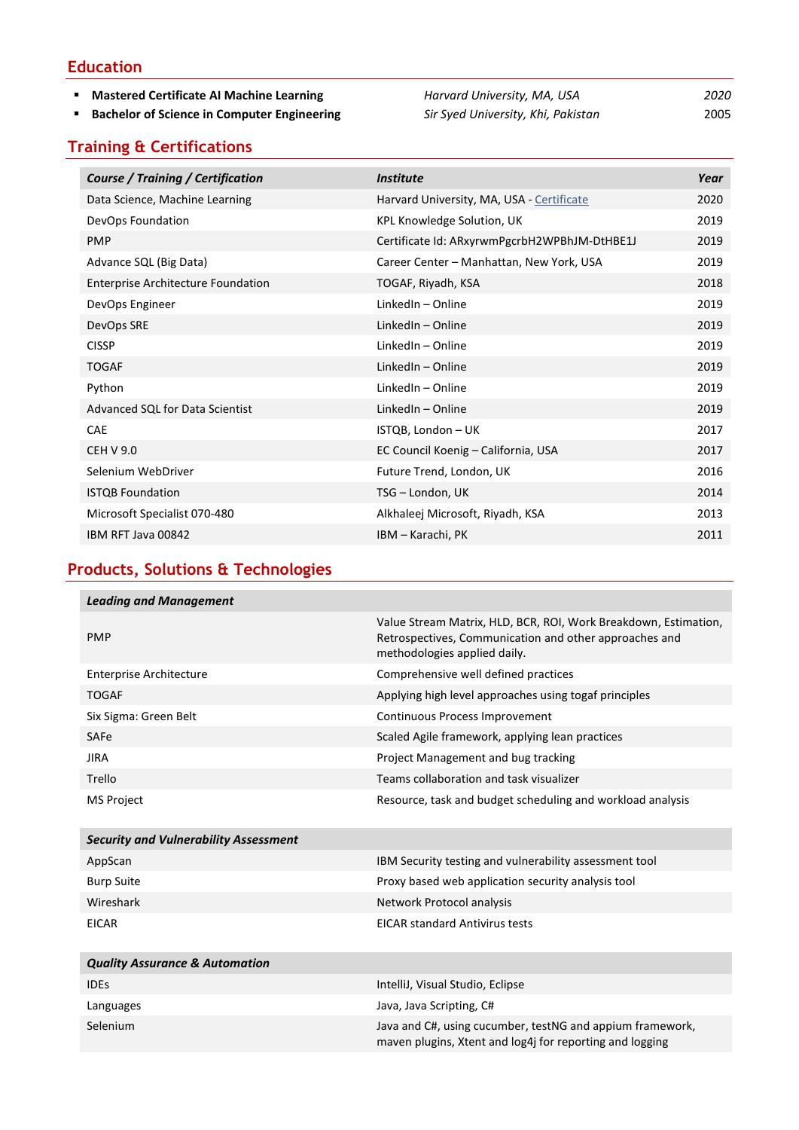### **Education**

- 
- 

#### **Mastered Certificate AI Machine Learning** *Harvard University, MA, USA 2020* **Bachelor of Science in Computer Engineering** *Sir Syed University, Khi, Pakistan* 2005

## **Training & Certifications**

| Course / Training / Certification         | <i><b>Institute</b></i>                      | Year |
|-------------------------------------------|----------------------------------------------|------|
| Data Science, Machine Learning            | Harvard University, MA, USA - Certificate    | 2020 |
| DevOps Foundation                         | KPL Knowledge Solution, UK                   | 2019 |
| <b>PMP</b>                                | Certificate Id: ARxyrwmPgcrbH2WPBhJM-DtHBE1J | 2019 |
| Advance SQL (Big Data)                    | Career Center - Manhattan, New York, USA     | 2019 |
| <b>Enterprise Architecture Foundation</b> | TOGAF, Riyadh, KSA                           | 2018 |
| DevOps Engineer                           | LinkedIn - Online                            | 2019 |
| DevOps SRE                                | LinkedIn - Online                            | 2019 |
| <b>CISSP</b>                              | LinkedIn - Online                            | 2019 |
| <b>TOGAF</b>                              | LinkedIn - Online                            | 2019 |
| Python                                    | LinkedIn - Online                            | 2019 |
| Advanced SQL for Data Scientist           | LinkedIn - Online                            | 2019 |
| <b>CAE</b>                                | ISTQB, London - UK                           | 2017 |
| <b>CEH V 9.0</b>                          | EC Council Koenig - California, USA          | 2017 |
| Selenium WebDriver                        | Future Trend, London, UK                     | 2016 |
| <b>ISTQB Foundation</b>                   | TSG - London, UK                             | 2014 |
| Microsoft Specialist 070-480              | Alkhaleej Microsoft, Riyadh, KSA             | 2013 |
| IBM RFT Java 00842                        | IBM – Karachi, PK                            | 2011 |

# **Products, Solutions & Technologies**

| <b>Leading and Management</b>                |                                                                                                                                                           |
|----------------------------------------------|-----------------------------------------------------------------------------------------------------------------------------------------------------------|
| <b>PMP</b>                                   | Value Stream Matrix, HLD, BCR, ROI, Work Breakdown, Estimation,<br>Retrospectives, Communication and other approaches and<br>methodologies applied daily. |
| <b>Enterprise Architecture</b>               | Comprehensive well defined practices                                                                                                                      |
| <b>TOGAF</b>                                 | Applying high level approaches using togaf principles                                                                                                     |
| Six Sigma: Green Belt                        | Continuous Process Improvement                                                                                                                            |
| SAFe                                         | Scaled Agile framework, applying lean practices                                                                                                           |
| <b>JIRA</b>                                  | Project Management and bug tracking                                                                                                                       |
| Trello                                       | Teams collaboration and task visualizer                                                                                                                   |
| <b>MS Project</b>                            | Resource, task and budget scheduling and workload analysis                                                                                                |
| <b>Security and Vulnerability Assessment</b> |                                                                                                                                                           |
| AppScan                                      | IBM Security testing and vulnerability assessment tool                                                                                                    |
| <b>Burp Suite</b>                            | Proxy based web application security analysis tool                                                                                                        |
| Wireshark                                    | Network Protocol analysis                                                                                                                                 |

| <b>Quality Assurance &amp; Automation</b> |                                                                                                                       |
|-------------------------------------------|-----------------------------------------------------------------------------------------------------------------------|
| <b>IDES</b>                               | IntelliJ, Visual Studio, Eclipse                                                                                      |
| Languages                                 | Java, Java Scripting, C#                                                                                              |
| Selenium                                  | Java and C#, using cucumber, testNG and appium framework,<br>maven plugins, Xtent and log4j for reporting and logging |

EICAR EICAR standard Antivirus tests